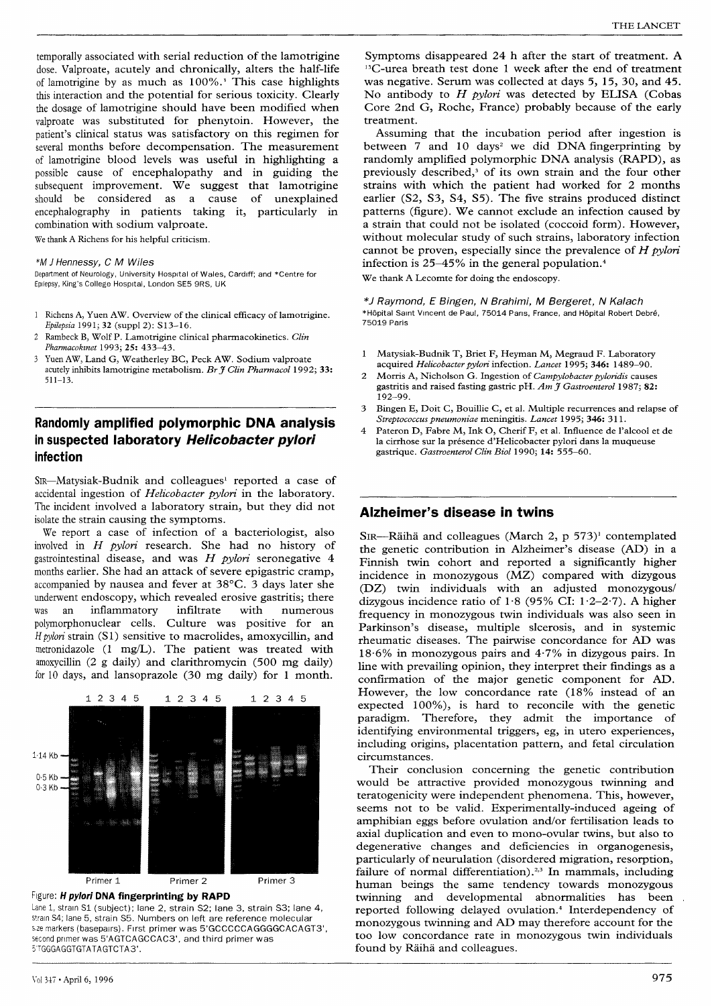temporally associated with serial reduction of the lamotrigine dose. Valproate, acutely and chronically, alters the half-life of lamotrigine by as much as 100%.' This case highlights this interaction and the potential for serious toxicity. Clearly the dosage of lamotrigine should have been modified when valproate was substituted for phenytoin. However, the patient's clinical status was satisfactory on this regimen for several months before decompensation. The measurement of lamotrigine blood levels was useful in highlighting a possible cause of encephalopathy and in guiding the subsequent improvement. We suggest that lamotrigine should be considered as a cause of unexplained encephalography in patients taking it, particularly in combination with sodium valproate.

We thank A Richens for his helpful criticism.

#### \*M J Hennessy, C M Wiles

Department of Neurology, University Hospital of Wales, Cardiff; and \*Centre for Epilepsy, King's College Hospital, London SE5 9RS, UK

- 1 Richens A, Yuen AW. Overview of the clinical efficacy of lamotrigine. Epilepsia 1991; 32 (suppl 2): S13-16.
- 2 Rambeck B, Wolf P. Lamotrigine clinical pharmacokinetics. Clin Pharmacokinet 1993; 25: 433-43.
- Yuen AW, Land G, Weatherley BC, Peck AW. Sodium valproate acutely inhibits lamotrigine metabolism. Br  $\widetilde{f}$  Clin Pharmacol 1992; 33: 511-13.

# Randomly amplified polymorphic DNA analysis in suspected laboratory Helicobacter pylori infection

SiR-Matysiak-Budnik and colleagues' reported a case of accidental ingestion of *Helicobacter pylori* in the laboratory. The incident involved a laboratory strain, but they did not isolate the strain causing the symptoms.

We report a case of infection of a bacteriologist, also involved in H pylori research. She had no history of gastrointestinal disease, and was  $H$  pylori seronegative  $4$ months earlier. She had an attack of severe epigastric cramp, accompanied by nausea and fever at 38°C. 3 days later she underwent endoscopy, which revealed erosive gastritis; there was an inflammatory infiltrate with numerous polymorphonuclear cells. Culture was positive for an H pylori strain (Sl) sensitive to macrolides, amoxycillin, and metronidazole (1 mg/L). The patient was treated with amoxycillin (2 g daily) and clarithromycin (500 mg daily) for 10 days, and lansoprazole (30 mg daily) for 1 month.



Figure: H pylori DNA fingerprinting by RAPD

Lane 1, strain S1 (subject); lane 2, strain S2; lane 3, strain S3; lane 4, strain S4; lane 5, strain S5. Numbers on left are reference molecular sze markers (basepairs). First primer was 5'GCCCCCAGGGGCACAGT3', second primer was 5'AGTCAGCCAC3', and third primer was 5'TGGGAGGTGTATAGTCTA3'.

Symptoms disappeared 24 h after the start of treatment. A <sup>13</sup>C-urea breath test done 1 week after the end of treatment was negative. Serum was collected at days 5, 15, 30, and 45. No antibody to  $H$  *pylori* was detected by ELISA (Cobas Core 2nd G, Roche, France) probably because of the early treatment.

Assuming that the incubation period after ingestion is between  $7$  and  $10$  days<sup>2</sup> we did DNA fingerprinting by randomly amplified polymorphic DNA analysis (RAPD), as previously described,3 of its own strain and the four other strains with which the patient had worked for 2 months earlier (S2, S3, S4, S5). The five strains produced distinct patterns (figure). We cannot exclude an infection caused by a strain that could not be isolated (coccoid form). However, without molecular study of such strains, laboratory infection cannot be proven, especially since the prevalence of  $H$  pylori infection is 25-45% in the general population.4

We thank A Lecomte for doing the endoscopy.

\*J Raymond, E Bingen, N Brahimi, M Bergeret, N Kalach \*Hôpital Saint Vincent de Paul, 75014 Paris, France, and Hôpital Robert Debré, 75019 Paris

- 1 Matysiak-Budnik T, Briet F, Heyman M, Megraud F. Laboratory acquired Helicobacter pylori infection. Lancet 1995; 346: 1489-90.
- 2 Morris A, Nicholson G. Ingestion of Campylobacter pyloridis causes gastritis and raised fasting gastric pH.  $Am \tilde{f}$  Gastroenterol 1987; 82: 192-99.
- 3 Bingen E, Doit C, Bouillie C, et al. Multiple recurrences and relapse of Streptococcus pneumoniae meningitis. Lancet 1995; 346: 311.
- 4 Pateron D, Fabre M, Ink O, Cherif F, et al. Influence de l'alcool et de la cirrhose sur la présence d'Helicobacter pylori dans la muqueuse gastrique. Gastroenterol Clin Biol 1990; 14: 555-60.

### Alzheimer's disease in twins

SiR-Raiha and colleagues (March 2, p 573)' contemplated the genetic contribution in Alzheimer's disease (AD) in a Finnish twin cohort and reported a significantly higher incidence in monozygous (MZ) compared with dizygous (DZ) twin individuals with an adjusted monozygous/ dizygous incidence ratio of  $1.8$  (95% CI:  $1.2-2.7$ ). A higher frequency in monozygous twin individuals was also seen in Parkinson's disease, multiple slcerosis, and in systemic rheumatic diseases. The pairwise concordance for AD was 18-6% in monozygous pairs and 4-7% in dizygous pairs. In line with prevailing opinion, they interpret their findings as a confirmation of the major genetic component for AD. However, the low concordance rate  $(18\%$  instead of an expected 100%), is hard to reconcile with the genetic paradigm. Therefore, they admit the importance of identifying environmental triggers, eg, in utero experiences, including origins, placentation pattern, and fetal circulation circumstances.

Their conclusion concerning the genetic contribution would be attractive provided monozygous twinning and teratogenicity were independent phenomena. This, however, seems not to be valid. Experimentally-induced ageing of amphibian eggs before ovulation and/or fertilisation leads to axial duplication and even to mono-ovular twins, but also to degenerative changes and deficiencies in organogenesis, particularly of neurulation (disordered migration, resorption, failure of normal differentiation).<sup>2,3</sup> In mammals, including human beings the same tendency towards monozygous twinning and developmental abnormalities has been reported following delayed ovulation.<sup>4</sup> Interdependency of monozygous twinning and AD may therefore account for the too low concordance rate in monozygous twin individuals found by Raiha and colleagues.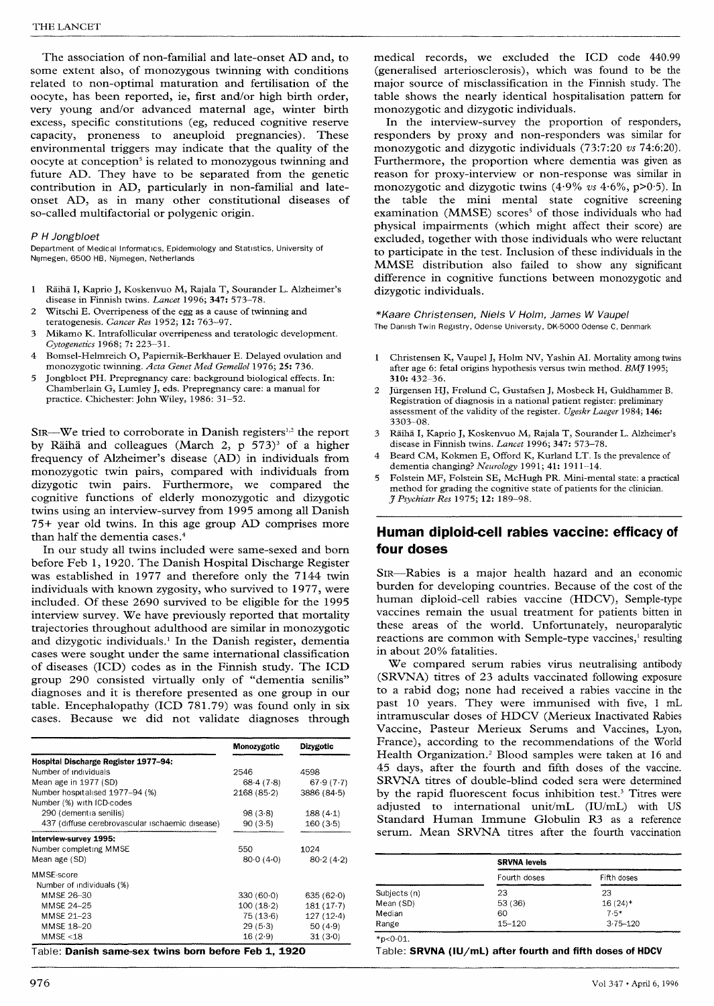The association of non-familial and late-onset AD and, to some extent also, of monozygous twinning with conditions related to non-optimal maturation and fertilisation of the oocyte, has been reported, ie, first and/or high birth order, very young and/or advanced maternal age, winter birth excess, specific constitutions (eg, reduced cognitive reserve capacity, proneness to aneuploid pregnancies). These environmental triggers may indicate that the quality of the oocyte at conception<sup> $\delta$ </sup> is related to monozygous twinning and future AD. They have to be separated from the genetic contribution in AD, particularly in non-familial and lateonset AD, as in many other constitutional diseases of so-called multifactorial or polygenic origin.

### P H Jongbloet

Department of Medical Informatics, Epidemiology and Statistics, University of Nijmegen, 6500 HB, Nijmegen, Netherlands

- 1 Räihä I, Kaprio J, Koskenvuo M, Rajala T, Sourander L. Alzheimer's disease in Finnish twins. Lancet 1996; 347: 573-78.
- 2 Witschi E. Overripeness of the egg as a cause of twinning and teratogenesis. Cancer Res 1952; 12: 763-97.
- 3 Mikamo K. Intrafollicular overripeness and teratologic development. Cytogenetics 1968; 7: 223-31.
- 4 Bomsel-Helmreich O, Papiernik-Berkhauer E. Delayed ovulation and monozygotic twinning. Acta Genet Med Gemellol 1976; 25: 736.
- 5 Jongbloet PH. Prepregnancy care: background biological effects. In: Chamberlain G, Lumley J, eds. Prepregnancy care: a manual for practice. Chichester: John Wiley, 1986: 31-52.

SIR-We tried to corroborate in Danish registers<sup>1,2</sup> the report by Räihä and colleagues (March 2,  $p$  573)<sup>3</sup> of a higher frequency of Alzheimer's disease (AD) in individuals from monozygotic twin pairs, compared with individuals from dizygotic twin pairs. Furthermore, we compared the cognitive functions of elderly monozygotic and dizygotic twins using an interview-survey from 1995 among all Danish 75+ year old twins. In this age group AD comprises more than half the dementia cases.4

In our study all twins included were same-sexed and born before Feb 1, 1920. The Danish Hospital Discharge Register was established in 1977 and therefore only the 7144 twin individuals with known zygosity, who survived to 1977, were included. Of these 2690 survived to be eligible for the 1995 interview survey. We have previously reported that mortality trajectories throughout adulthood are similar in monozygotic and dizygotic individuals.' In the Danish register, dementia cases were sought under the same international classification of diseases (ICD) codes as in the Finnish study. The ICD group 290 consisted virtually only of "dementia senilis" diagnoses and it is therefore presented as one group in our table. Encephalopathy (ICD 781.79) was found only in six cases. Because we did not validate diagnoses through

| 68.4(7.8)<br>2168(85.2) | 4598<br>67.9(7.7)                                         |
|-------------------------|-----------------------------------------------------------|
|                         |                                                           |
|                         |                                                           |
|                         |                                                           |
|                         | 3886(84.5)                                                |
|                         |                                                           |
| 98(3.8)                 | 188(4.1)                                                  |
| 90(3.5)                 | 160(3.5)                                                  |
|                         |                                                           |
|                         | 1024                                                      |
| 80.0(4.0)               | 80.2(4.2)                                                 |
|                         |                                                           |
|                         |                                                           |
|                         | 635(62.0)                                                 |
|                         | $181(17-7)$                                               |
|                         | $127(12-4)$                                               |
|                         | 50 $(4.9)$                                                |
|                         | 31(3.0)                                                   |
|                         | 330(60.0)<br>100(18.2)<br>75 (13.6)<br>29(5.3)<br>16(2.9) |

Table: **Danish same-sex twins born before Feb 1, 19** 

medical records, we excluded the ICD code 440.99 (generalised arteriosclerosis), which was found to be the major source of misclassification in the Finnish study. The table shows the nearly identical hospitalisation pattern for monozygotic and dizygotic individuals.

In the interview-survey the proportion of responders, responders by proxy and non-responders was similar for monozygotic and dizygotic individuals (73:7:20 vs 74:6:20). Furthermore, the proportion where dementia was given as reason for proxy-interview or non-response was similar in monozygotic and dizygotic twins  $(4.9\% \text{ vs } 4.6\%, \text{p} > 0.5)$ . In the table the mini mental state cognitive screening examination (MMSE) scores<sup>5</sup> of those individuals who had physical impairments (which might affect their score) are excluded, together with those individuals who were reluctant to participate in the test. Inclusion of these individuals in the MMSE distribution also failed to show any significant difference in cognitive functions between monozygotic and dizygotic individuals.

\*Kaare Christensen, Niels V Holm, James W Vaupel The Danish Twin Registry, Odense University, DK-5000 Odense C, Denmark

- 1 Christensen K, Vaupel J, Holm NV, Yashin AI. Mortality among twins after age 6: fetal origins hypothesis versus twin method. BMJ 1995; 310: 432-36.
- 2 Jürgensen HJ, Frølund C, Gustafsen J, Mosbeck H, Guldhammer B. Registration of diagnosis in a national patient register: preliminary assessment of the validity of the register. Ugeskr Laeger 1984; 146: 3303-08.
- 3 Räihä I, Kaprio J, Koskenvuo M, Rajala T, Sourander L. Alzheimer's disease in Finnish twins. Lancet 1996; 347: 573-78.
- Beard CM, Kokmen E, Offord K, Kurland LT. Is the prevalence of dementia changing? Neurology 1991; 41: 1911-14.
- 5 Folstein MF, Folstein SE, McHugh PR. Mini-mental state: a practical method for grading the cognitive state of patients for the clinician. J Psychiatr Res 1975; 12: 189-98.

## Human diploid-cell rabies vaccine: efficacy of four doses

SIR-Rabies is a major health hazard and an economic burden for developing countries. Because of the cost of the human diploid-cell rabies vaccine (HDCV), Semple-type vaccines remain the usual treatment for patients bitten in these areas of the world. Unfortunately, neuroparalytic reactions are common with Semple-type vaccines,' resulting in about 20% fatalities.

We compared serum rabies virus neutralising antibody (SRVNA) titres of 23 adults vaccinated following exposure to a rabid dog; none had received a rabies vaccine in the past 10 years. They were immunised with five, 1 mL intramuscular doses of HDCV (Merieux Inactivated Rabies Vaccine, Pasteur Merieux Serums and Vaccines, Lyon, France), according to the recommendations of the World Health Organization.<sup>2</sup> Blood samples were taken at 16 and 45 days, after the fourth and fifth doses of the vaccine. SRVNA titres of double-blind coded sera were determined by the rapid fluorescent focus inhibition test.<sup>3</sup> Titres were adjusted to international unit/mL (IU/mL) with US Standard Human Immune Globulin R3 as a reference serum. Mean SRVNA titres after the fourth vaccination

|                | <b>SRVNA levels</b> |              |
|----------------|---------------------|--------------|
|                | Fourth doses        | Fifth doses  |
| Subjects (n)   | 23                  | 23           |
| Mean (SD)      | 53 (36)             | $16(24)$ *   |
| Median         | 60                  | $7.5*$       |
| Range          | $15 - 120$          | $3.75 - 120$ |
| * $p < 0.01$ . |                     |              |

Table: SRVNA (IU/mL) after fourth and fifth doses of HDCV